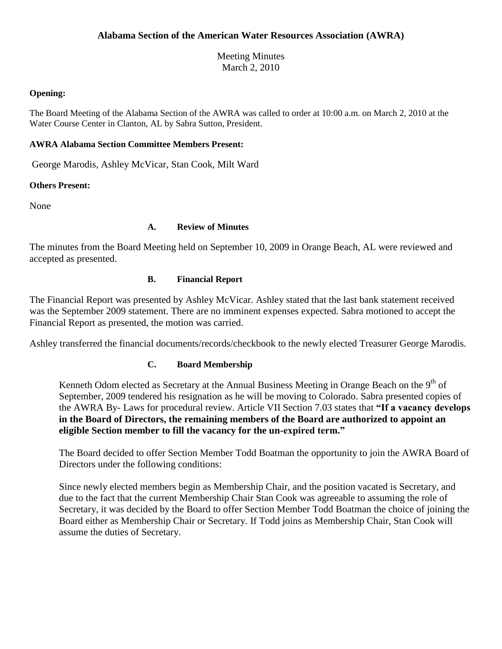Meeting Minutes March 2, 2010

#### **Opening:**

The Board Meeting of the Alabama Section of the AWRA was called to order at 10:00 a.m. on March 2, 2010 at the Water Course Center in Clanton, AL by Sabra Sutton, President.

# **AWRA Alabama Section Committee Members Present:**

George Marodis, Ashley McVicar, Stan Cook, Milt Ward

# **Others Present:**

None

# **A. Review of Minutes**

The minutes from the Board Meeting held on September 10, 2009 in Orange Beach, AL were reviewed and accepted as presented.

# **B. Financial Report**

The Financial Report was presented by Ashley McVicar. Ashley stated that the last bank statement received was the September 2009 statement. There are no imminent expenses expected. Sabra motioned to accept the Financial Report as presented, the motion was carried.

Ashley transferred the financial documents/records/checkbook to the newly elected Treasurer George Marodis.

#### **C. Board Membership**

Kenneth Odom elected as Secretary at the Annual Business Meeting in Orange Beach on the 9<sup>th</sup> of September, 2009 tendered his resignation as he will be moving to Colorado. Sabra presented copies of the AWRA By- Laws for procedural review. Article VII Section 7.03 states that **"If a vacancy develops in the Board of Directors, the remaining members of the Board are authorized to appoint an eligible Section member to fill the vacancy for the un-expired term."** 

The Board decided to offer Section Member Todd Boatman the opportunity to join the AWRA Board of Directors under the following conditions:

Since newly elected members begin as Membership Chair, and the position vacated is Secretary, and due to the fact that the current Membership Chair Stan Cook was agreeable to assuming the role of Secretary, it was decided by the Board to offer Section Member Todd Boatman the choice of joining the Board either as Membership Chair or Secretary. If Todd joins as Membership Chair, Stan Cook will assume the duties of Secretary.